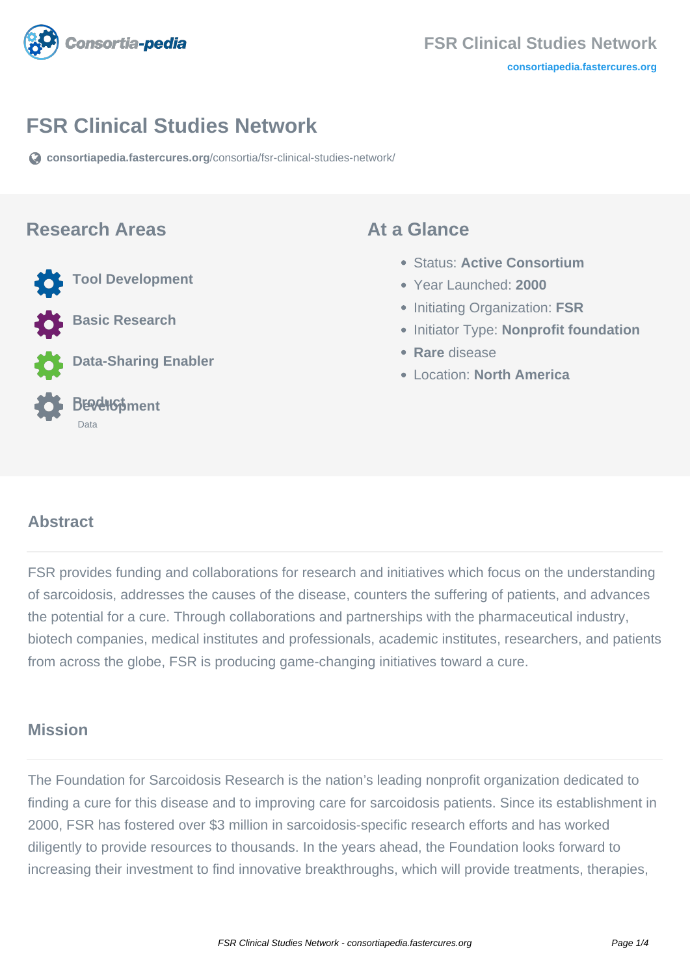

# **FSR Clinical Studies Network**

**[consortiapedia.fastercures.org](https://consortiapedia.fastercures.org/consortia/fsr-clinical-studies-network/)**[/consortia/fsr-clinical-studies-network/](https://consortiapedia.fastercures.org/consortia/fsr-clinical-studies-network/)

#### **Research Areas**

**Tool Development**

**Basic Research** 

**Data-Sharing Enabler**

#### **Product Development** Data

#### **At a Glance**

- Status: **Active Consortium**
- Year Launched: **2000**
- Initiating Organization: **FSR**
- **Initiator Type: Nonprofit foundation**
- **Rare** disease
- Location: **North America**

#### $\overline{a}$ **Abstract**

FSR provides funding and collaborations for research and initiatives which focus on the understanding of sarcoidosis, addresses the causes of the disease, counters the suffering of patients, and advances the potential for a cure. Through collaborations and partnerships with the pharmaceutical industry. biotech companies, medical institutes and professionals, academic institutes, researchers, and patients from across the globe, FSR is producing game-changing initiatives toward a cure.

## **Mission**

The Foundation for Sarcoidosis Research is the nation's leading nonprofit organization dedicated to finding a cure for this disease and to improving care for sarcoidosis patients. Since its establishment in 2000, FSR has fostered over \$3 million in sarcoidosis-specific research efforts and has worked diligently to provide resources to thousands. In the years ahead, the Foundation looks forward to increasing their investment to find innovative breakthroughs, which will provide treatments, therapies,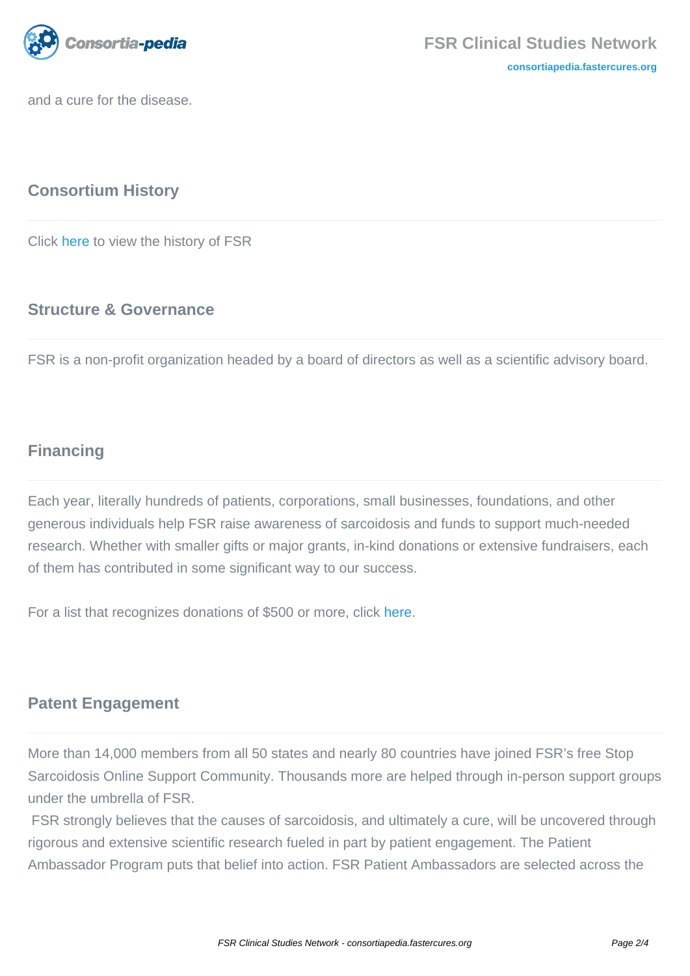

and a cure for the disease.

### **Consortium History**

Click [here](https://www.stopsarcoidosis.org/about/history/) to view the history of FSR

#### **Structure & Governance**

FSR is a non-profit organization headed by a board of directors as well as a scientific advisory board.

## **Financing**

Each year, literally hundreds of patients, corporations, small businesses, foundations, and other generous individuals help FSR raise awareness of sarcoidosis and funds to support much-needed research. Whether with smaller gifts or major grants, in-kind donations or extensive fundraisers, each of them has contributed in some significant way to our success.

For a list that recognizes donations of \$500 or more, click [here](https://www.stopsarcoidosis.org/investors/our-funders/).

#### **Patent Engagement**

More than 14,000 members from all 50 states and nearly 80 countries have joined FSR's free Stop Sarcoidosis Online Support Community. Thousands more are helped through in-person support groups under the umbrella of FSR.

 FSR strongly believes that the causes of sarcoidosis, and ultimately a cure, will be uncovered through rigorous and extensive scientific research fueled in part by patient engagement. The Patient Ambassador Program puts that belief into action. FSR Patient Ambassadors are selected across the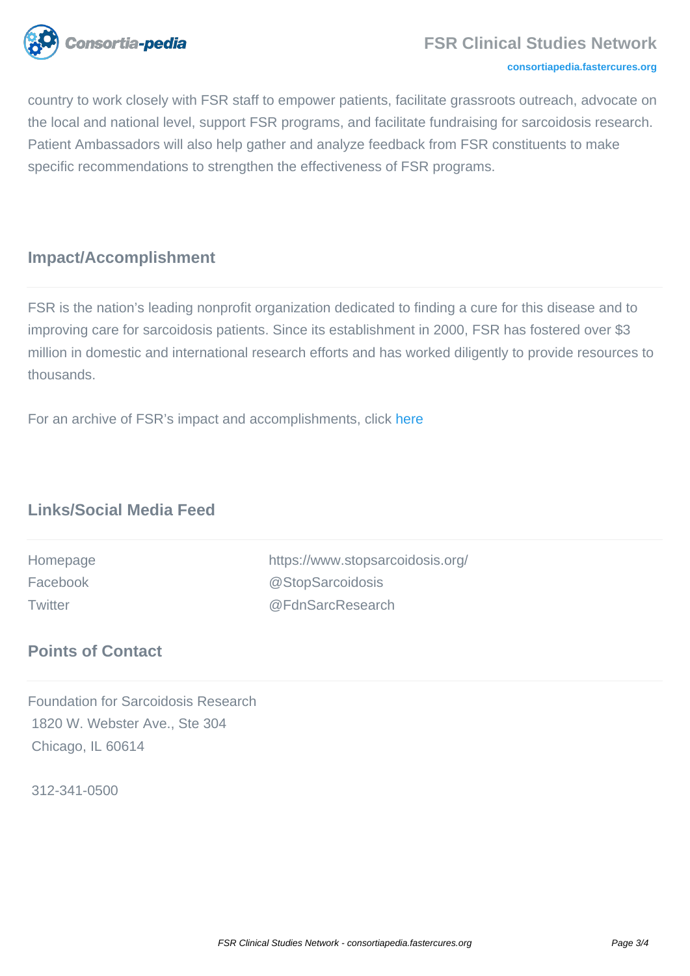

#### **[consortiapedia.fastercures.org](http://consortiapedia.fastercures.org/)**

country to work closely with FSR staff to empower patients, facilitate grassroots outreach, advocate on the local and national level, support FSR programs, and facilitate fundraising for sarcoidosis research. Patient Ambassadors will also help gather and analyze feedback from FSR constituents to make specific recommendations to strengthen the effectiveness of FSR programs.

#### **Impact/Accomplishment**

FSR is the nation's leading nonprofit organization dedicated to finding a cure for this disease and to improving care for sarcoidosis patients. Since its establishment in 2000, FSR has fostered over \$3 million in domestic and international research efforts and has worked diligently to provide resources to thousands.

For an archive of FSR's impact and accomplishments, clic[k here](https://www.stopsarcoidosis.org/category/news/)

## **Links/Social Media Feed**

Homepage https://www.stopsarcoidosis.org/ Facebook @StopSarcoidosis Twitter @FdnSarcResearch

#### **Points of Contact**

Foundation for Sarcoidosis Research 1820 W. Webster Ave., Ste 304 Chicago, IL 60614

312-341-0500